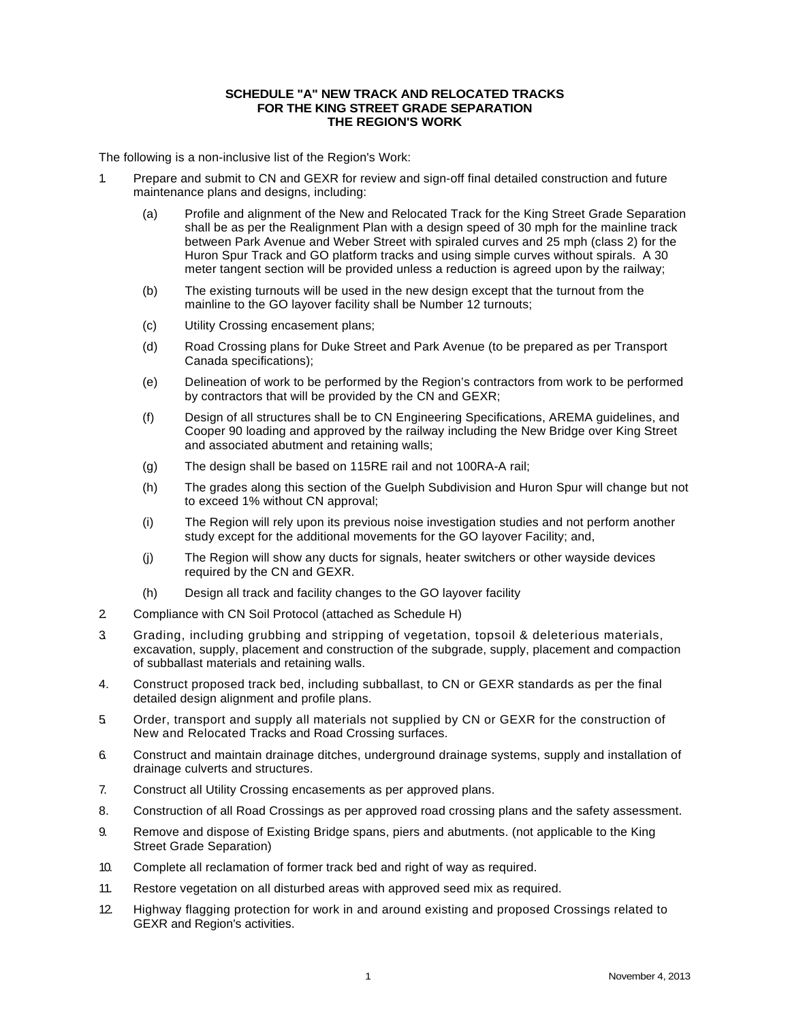## **SCHEDULE "A" NEW TRACK AND RELOCATED TRACKS FOR THE KING STREET GRADE SEPARATION THE REGION'S WORK**

The following is a non-inclusive list of the Region's Work:

- 1. Prepare and submit to CN and GEXR for review and sign-off final detailed construction and future maintenance plans and designs, including:
	- (a) Profile and alignment of the New and Relocated Track for the King Street Grade Separation shall be as per the Realignment Plan with a design speed of 30 mph for the mainline track between Park Avenue and Weber Street with spiraled curves and 25 mph (class 2) for the Huron Spur Track and GO platform tracks and using simple curves without spirals. A 30 meter tangent section will be provided unless a reduction is agreed upon by the railway;
	- (b) The existing turnouts will be used in the new design except that the turnout from the mainline to the GO layover facility shall be Number 12 turnouts;
	- (c) Utility Crossing encasement plans;
	- (d) Road Crossing plans for Duke Street and Park Avenue (to be prepared as per Transport Canada specifications);
	- (e) Delineation of work to be performed by the Region's contractors from work to be performed by contractors that will be provided by the CN and GEXR;
	- (f) Design of all structures shall be to CN Engineering Specifications, AREMA guidelines, and Cooper 90 loading and approved by the railway including the New Bridge over King Street and associated abutment and retaining walls;
	- (g) The design shall be based on 115RE rail and not 100RA-A rail;
	- (h) The grades along this section of the Guelph Subdivision and Huron Spur will change but not to exceed 1% without CN approval;
	- (i) The Region will rely upon its previous noise investigation studies and not perform another study except for the additional movements for the GO layover Facility; and,
	- (j) The Region will show any ducts for signals, heater switchers or other wayside devices required by the CN and GEXR.
	- (h) Design all track and facility changes to the GO layover facility
- 2. Compliance with CN Soil Protocol (attached as Schedule H)
- 3. Grading, including grubbing and stripping of vegetation, topsoil & deleterious materials, excavation, supply, placement and construction of the subgrade, supply, placement and compaction of subballast materials and retaining walls.
- 4. Construct proposed track bed, including subballast, to CN or GEXR standards as per the final detailed design alignment and profile plans.
- 5. Order, transport and supply all materials not supplied by CN or GEXR for the construction of New and Relocated Tracks and Road Crossing surfaces.
- 6. Construct and maintain drainage ditches, underground drainage systems, supply and installation of drainage culverts and structures.
- 7. Construct all Utility Crossing encasements as per approved plans.
- 8. Construction of all Road Crossings as per approved road crossing plans and the safety assessment.
- 9. Remove and dispose of Existing Bridge spans, piers and abutments. (not applicable to the King Street Grade Separation)
- 10. Complete all reclamation of former track bed and right of way as required.
- 11. Restore vegetation on all disturbed areas with approved seed mix as required.
- 12. Highway flagging protection for work in and around existing and proposed Crossings related to GEXR and Region's activities.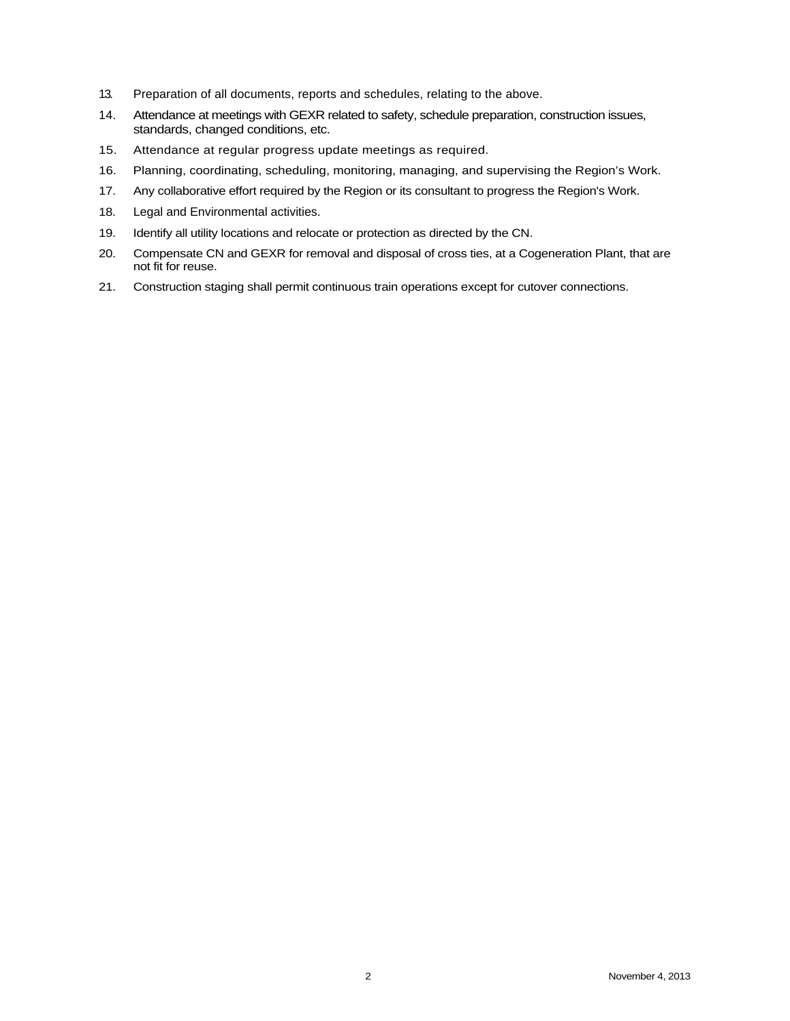- 13. Preparation of all documents, reports and schedules, relating to the above.
- 14. Attendance at meetings with GEXR related to safety, schedule preparation, construction issues, standards, changed conditions, etc.
- 15. Attendance at regular progress update meetings as required.
- 16. Planning, coordinating, scheduling, monitoring, managing, and supervising the Region's Work.
- 17. Any collaborative effort required by the Region or its consultant to progress the Region's Work.
- 18. Legal and Environmental activities.
- 19. Identify all utility locations and relocate or protection as directed by the CN.
- 20. Compensate CN and GEXR for removal and disposal of cross ties, at a Cogeneration Plant, that are not fit for reuse.
- 21. Construction staging shall permit continuous train operations except for cutover connections.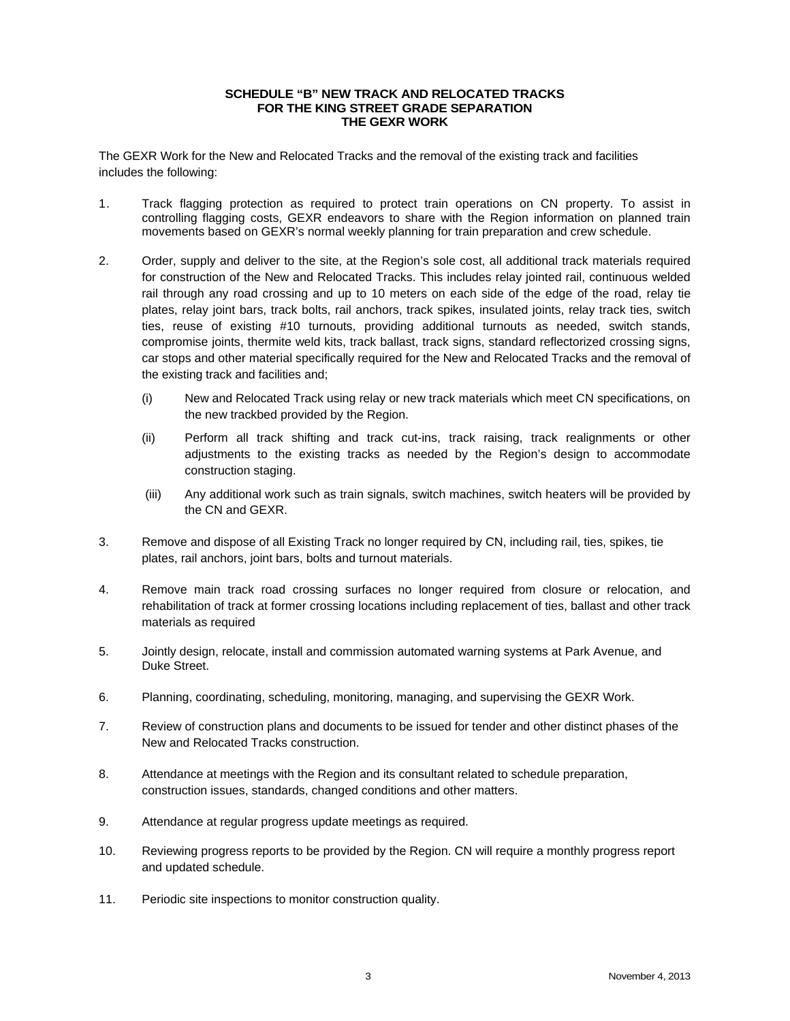## **SCHEDULE "B" NEW TRACK AND RELOCATED TRACKS FOR THE KING STREET GRADE SEPARATION THE GEXR WORK**

The GEXR Work for the New and Relocated Tracks and the removal of the existing track and facilities includes the following:

- 1. Track flagging protection as required to protect train operations on CN property. To assist in controlling flagging costs, GEXR endeavors to share with the Region information on planned train movements based on GEXR's normal weekly planning for train preparation and crew schedule.
- 2. Order, supply and deliver to the site, at the Region's sole cost, all additional track materials required for construction of the New and Relocated Tracks. This includes relay jointed rail, continuous welded rail through any road crossing and up to 10 meters on each side of the edge of the road, relay tie plates, relay joint bars, track bolts, rail anchors, track spikes, insulated joints, relay track ties, switch ties, reuse of existing #10 turnouts, providing additional turnouts as needed, switch stands, compromise joints, thermite weld kits, track ballast, track signs, standard reflectorized crossing signs, car stops and other material specifically required for the New and Relocated Tracks and the removal of the existing track and facilities and;
	- (i) New and Relocated Track using relay or new track materials which meet CN specifications, on the new trackbed provided by the Region.
	- (ii) Perform all track shifting and track cut-ins, track raising, track realignments or other adjustments to the existing tracks as needed by the Region's design to accommodate construction staging.
	- (iii) Any additional work such as train signals, switch machines, switch heaters will be provided by the CN and GEXR.
- 3. Remove and dispose of all Existing Track no longer required by CN, including rail, ties, spikes, tie plates, rail anchors, joint bars, bolts and turnout materials.
- 4. Remove main track road crossing surfaces no longer required from closure or relocation, and rehabilitation of track at former crossing locations including replacement of ties, ballast and other track materials as required
- 5. Jointly design, relocate, install and commission automated warning systems at Park Avenue, and Duke Street.
- 6. Planning, coordinating, scheduling, monitoring, managing, and supervising the GEXR Work.
- 7. Review of construction plans and documents to be issued for tender and other distinct phases of the New and Relocated Tracks construction.
- 8. Attendance at meetings with the Region and its consultant related to schedule preparation, construction issues, standards, changed conditions and other matters.
- 9. Attendance at regular progress update meetings as required.
- 10. Reviewing progress reports to be provided by the Region. CN will require a monthly progress report and updated schedule.
- 11. Periodic site inspections to monitor construction quality.